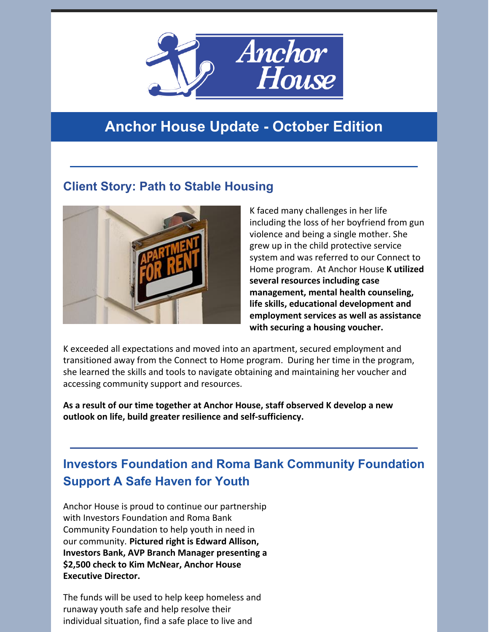

# **Anchor House Update - October Edition**

### **Client Story: Path to Stable Housing**



K faced many challenges in her life including the loss of her boyfriend from gun violence and being a single mother. She grew up in the child protective service system and was referred to our Connect to Home program. At Anchor House **K utilized several resources including case management, mental health counseling, life skills, educational development and employment services as well as assistance with securing a housing voucher.**

K exceeded all expectations and moved into an apartment, secured employment and transitioned away from the Connect to Home program. During her time in the program, she learned the skills and tools to navigate obtaining and maintaining her voucher and accessing community support and resources.

**As a result of our time together at Anchor House, staff observed K develop a new outlook on life, build greater resilience and self-sufficiency.**

## **Investors Foundation and Roma Bank Community Foundation Support A Safe Haven for Youth**

Anchor House is proud to continue our partnership with Investors Foundation and Roma Bank Community Foundation to help youth in need in our community. **Pictured right is Edward Allison, Investors Bank, AVP Branch Manager presenting a \$2,500 check to Kim McNear, Anchor House Executive Director.**

The funds will be used to help keep homeless and runaway youth safe and help resolve their individual situation, find a safe place to live and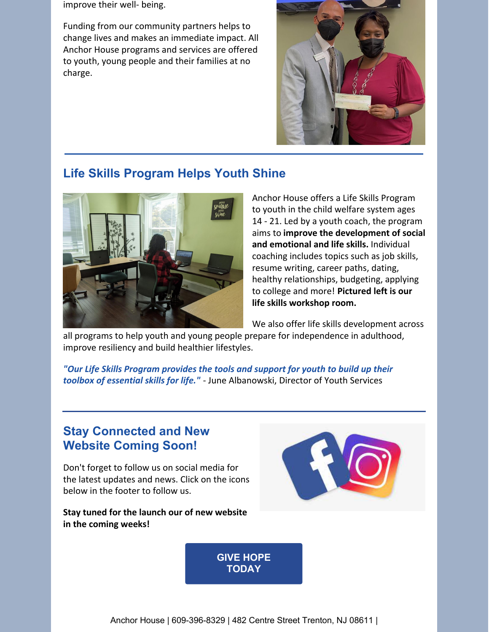improve their well- being.

Funding from our community partners helps to change lives and makes an immediate impact. All Anchor House programs and services are offered to youth, young people and their families at no charge.



#### **Life Skills Program Helps Youth Shine**



Anchor House offers a Life Skills Program to youth in the child welfare system ages 14 - 21. Led by a youth coach, the program aims to **improve the development of social and emotional and life skills.** Individual coaching includes topics such as job skills, resume writing, career paths, dating, healthy relationships, budgeting, applying to college and more! **Pictured left is our life skills workshop room.**

We also offer life skills development across

all programs to help youth and young people prepare for independence in adulthood, improve resiliency and build healthier lifestyles.

*"Our Life Skills Program provides the tools and support for youth to build up their toolbox of essential skills for life."* - June Albanowski, Director of Youth Services

### **Stay Connected and New Website Coming Soon!**

Don't forget to follow us on social media for the latest updates and news. Click on the icons below in the footer to follow us.

**Stay tuned for the launch our of new website in the coming weeks!**



**GIVE HOPE [TODAY](https://www.anchorhousenj.org/)**